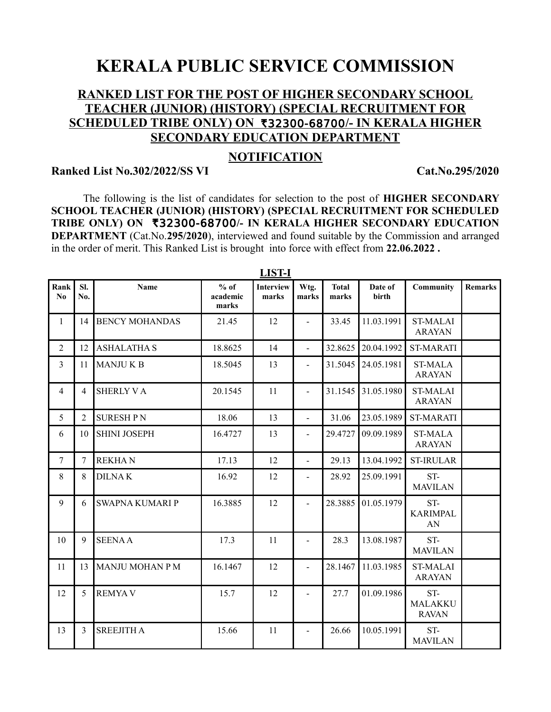# **KERALA PUBLIC SERVICE COMMISSION**

### **RANKED LIST FOR THE POST OF HIGHER SECONDARY SCHOOL TEACHER (JUNIOR) (HISTORY) (SPECIAL RECRUITMENT FOR SCHEDULED TRIBE ONLY) ON** R32300-68700**/- IN KERALA HIGHER SECONDARY EDUCATION DEPARTMENT**

### **NOTIFICATION**

#### **Ranked List No.302/2022/SS VI Cat.No.295/2020**

The following is the list of candidates for selection to the post of **HIGHER SECONDARY SCHOOL TEACHER (JUNIOR) (HISTORY) (SPECIAL RECRUITMENT FOR SCHEDULED** TRIBE ONLY) ON **₹32300-68700/- IN KERALA HIGHER SECONDARY EDUCATION DEPARTMENT** (Cat.No.**295/2020**), interviewed and found suitable by the Commission and arranged in the order of merit. This Ranked List is brought into force with effect from **22.06.2022 .**

| <u>LID I-L</u> |            |                        |                             |                           |                          |                       |                  |                                  |                |
|----------------|------------|------------------------|-----------------------------|---------------------------|--------------------------|-----------------------|------------------|----------------------------------|----------------|
| Rank<br>No     | Sl.<br>No. | Name                   | $%$ of<br>academic<br>marks | <b>Interview</b><br>marks | Wtg.<br>marks            | <b>Total</b><br>marks | Date of<br>birth | Community                        | <b>Remarks</b> |
| 1              | 14         | <b>BENCY MOHANDAS</b>  | 21.45                       | 12                        | $\overline{\phantom{a}}$ | 33.45                 | 11.03.1991       | <b>ST-MALAI</b><br><b>ARAYAN</b> |                |
| $\overline{2}$ | 12         | <b>ASHALATHA S</b>     | 18.8625                     | 14                        | $\blacksquare$           | 32.8625               | 20.04.1992       | <b>ST-MARATI</b>                 |                |
| 3              | 11         | <b>MANJUKB</b>         | 18.5045                     | 13                        | $\blacksquare$           | 31.5045               | 24.05.1981       | <b>ST-MALA</b><br><b>ARAYAN</b>  |                |
| 4              | 4          | <b>SHERLY VA</b>       | 20.1545                     | 11                        | $\blacksquare$           | 31.1545               | 31.05.1980       | <b>ST-MALAI</b><br><b>ARAYAN</b> |                |
| 5              | 2          | <b>SURESHPN</b>        | 18.06                       | 13                        | $\overline{a}$           | 31.06                 | 23.05.1989       | <b>ST-MARATI</b>                 |                |
| 6              | 10         | <b>SHINI JOSEPH</b>    | 16.4727                     | 13                        | $\blacksquare$           | 29.4727               | 09.09.1989       | <b>ST-MALA</b><br><b>ARAYAN</b>  |                |
| $\overline{7}$ | 7          | <b>REKHAN</b>          | 17.13                       | 12                        | $\overline{a}$           | 29.13                 | 13.04.1992       | <b>ST-IRULAR</b>                 |                |
| 8              | 8          | <b>DILNAK</b>          | 16.92                       | 12                        | $\overline{a}$           | 28.92                 | 25.09.1991       | ST-<br><b>MAVILAN</b>            |                |
| 9              | 6          | <b>SWAPNA KUMARI P</b> | 16.3885                     | 12                        |                          | 28.3885               | 01.05.1979       | ST-<br><b>KARIMPAL</b><br>AN     |                |
| 10             | 9          | <b>SEENAA</b>          | 17.3                        | 11                        | $\blacksquare$           | 28.3                  | 13.08.1987       | ST-<br><b>MAVILAN</b>            |                |
| 11             | 13         | <b>MANJU MOHAN PM</b>  | 16.1467                     | 12                        | $\blacksquare$           | 28.1467               | 11.03.1985       | <b>ST-MALAI</b><br><b>ARAYAN</b> |                |
| 12             | 5          | <b>REMYAV</b>          | 15.7                        | 12                        | $\overline{a}$           | 27.7                  | 01.09.1986       | ST-<br>MALAKKU<br><b>RAVAN</b>   |                |
| 13             | 3          | <b>SREEJITH A</b>      | 15.66                       | 11                        |                          | 26.66                 | 10.05.1991       | ST-<br><b>MAVILAN</b>            |                |

**LIST-I**